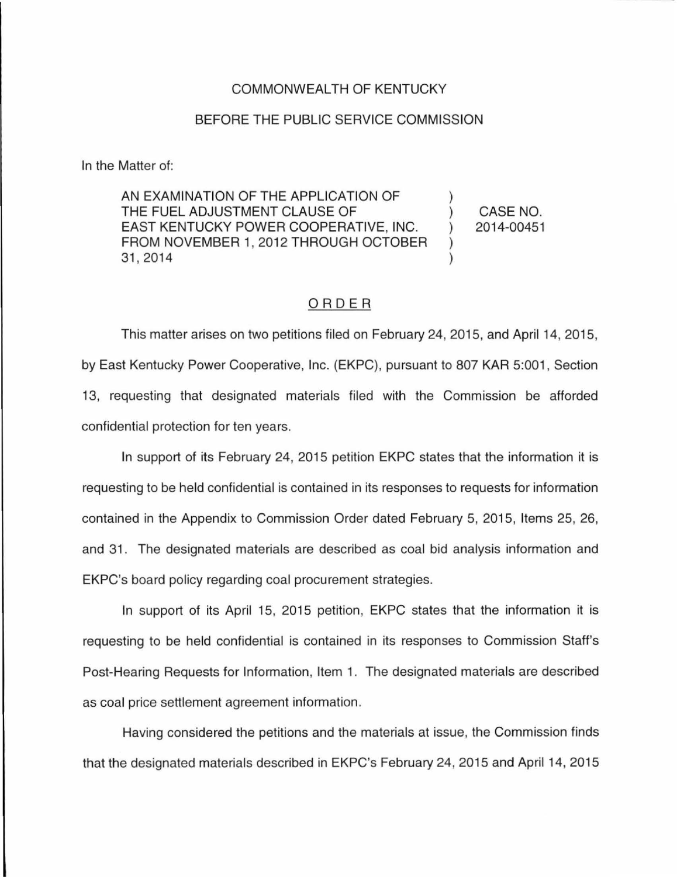## COMMONWEALTH OF KENTUCKY

## BEFORE THE PUBLIC SERVICE COMMISSION

In the Matter of:

AN EXAMINATION OF THE APPLICATION OF THE FUEL ADJUSTMENT CLAUSE OF  $\qquad \qquad$  (CASE NO. EAST KENTUCKY POWER COOPERATIVE, INC. (2014-00451) FROM NOVEMBER 1, 2012 THROUGH OCTOBER ) 31, 2014

## ORDER

This matter arises on two petitions filed on February 24, 2015, and April 14, 2015, by East Kentucky Power Cooperative, Inc. (EKPC), pursuant to 807 KAR 5:001 , Section 13, requesting that designated materials filed with the Commission be afforded confidential protection for ten years.

In support of its February 24, 2015 petition EKPC states that the information it is requesting to be held confidential is contained in its responses to requests for information contained in the Appendix to Commission Order dated February 5, 2015, Items 25, 26, and 31 . The designated materials are described as coal bid analysis information and EKPC's board policy regarding coal procurement strategies.

In support of its April 15, 2015 petition, EKPC states that the information it is requesting to be held confidential is contained in its responses to Commission Staff's Post-Hearing Requests for Information, Item 1. The designated materials are described as coal price settlement agreement information.

Having considered the petitions and the materials at issue, the Commission finds that the designated materials described in EKPC's February 24, 2015 and April 14, 2015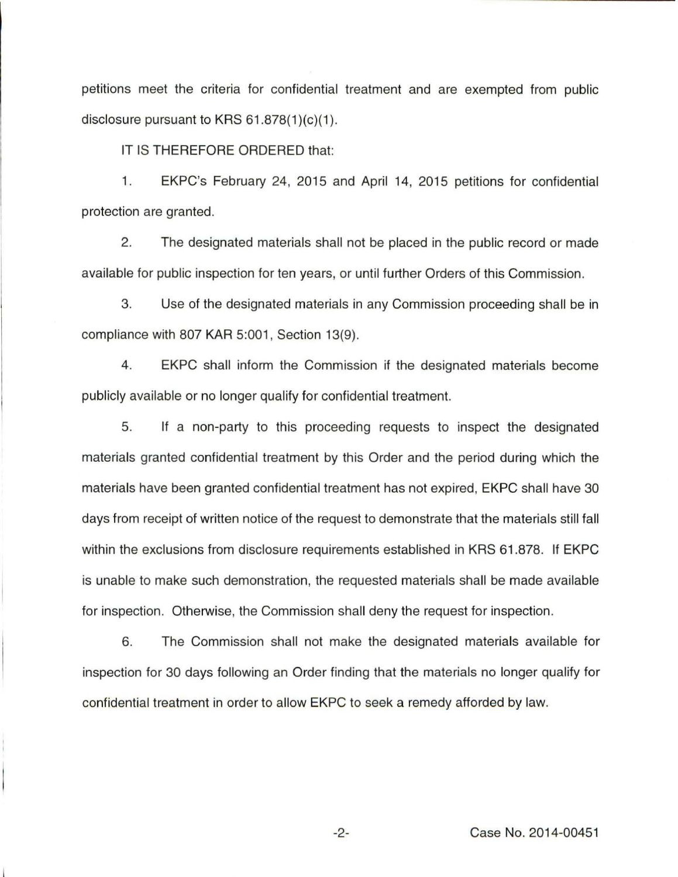petitions meet the criteria for confidential treatment and are exempted from public disclosure pursuant to KRS  $61.878(1)(c)(1)$ .

IT IS THEREFORE ORDERED that:

1. EKPC's February 24, 2015 and April 14, 2015 petitions for confidential protection are granted.

2. The designated materials shall not be placed in the public record or made available for public inspection for ten years, or until further Orders of this Commission.

3. Use of the designated materials in any Commission proceeding shall be in compliance with 807 KAR 5:001, Section 13(9).

4. EKPC shall inform the Commission if the designated materials become publicly available or no longer qualify for confidential treatment.

5. If a non-party to this proceeding requests to inspect the designated materials granted confidential treatment by this Order and the period during which the materials have been granted confidential treatment has not expired, EKPC shall have 30 days from receipt of written notice of the request to demonstrate that the materials still fall within the exclusions from disclosure requirements established in KRS 61.878. If EKPC is unable to make such demonstration, the requested materials shall be made available for inspection. Otherwise, the Commission shall deny the request for inspection.

6. The Commission shall not make the designated materials available for inspection for 30 days following an Order finding that the materials no longer qualify for confidential treatment in order to allow EKPC to seek a remedy afforded by law.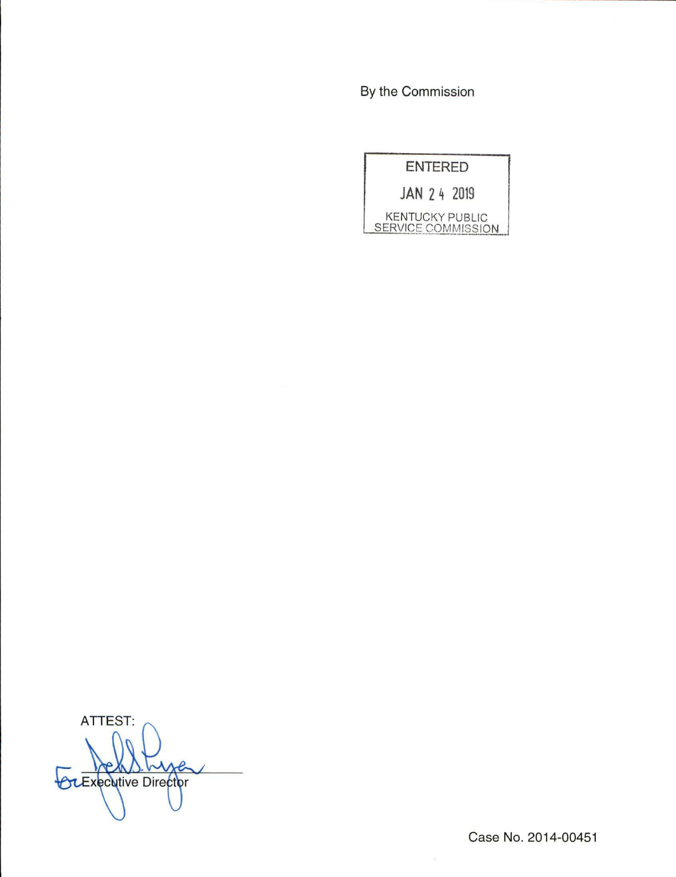By the Commission

|                                              | <b>ENTERED</b> |  |
|----------------------------------------------|----------------|--|
| JAN 24 2019                                  |                |  |
| <b>KENTUCKY PUBLIC</b><br>SERVICE COMMISSION |                |  |

ATTEST: **OLExecutive Director** 

Case No. 2014-00451